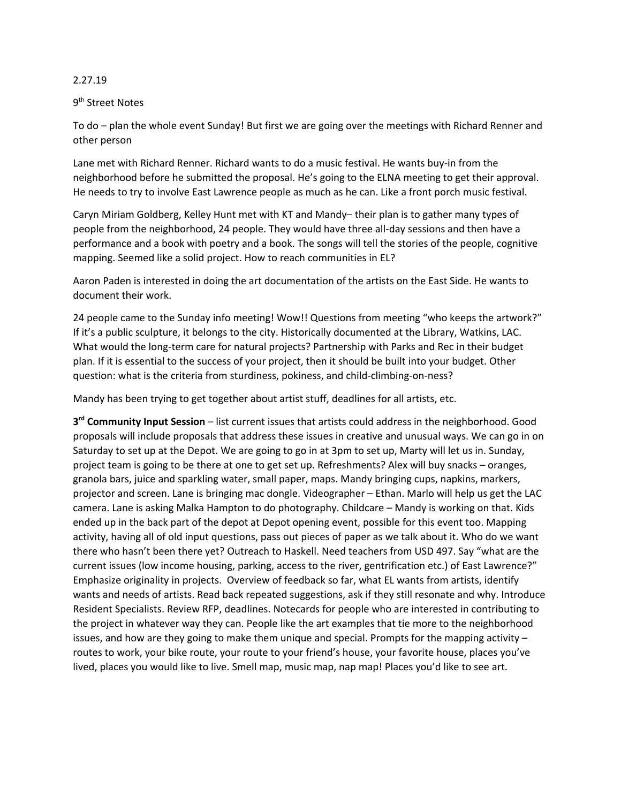## 2.27.19

## 9<sup>th</sup> Street Notes

To do – plan the whole event Sunday! But first we are going over the meetings with Richard Renner and other person

Lane met with Richard Renner. Richard wants to do a music festival. He wants buy-in from the neighborhood before he submitted the proposal. He's going to the ELNA meeting to get their approval. He needs to try to involve East Lawrence people as much as he can. Like a front porch music festival.

Caryn Miriam Goldberg, Kelley Hunt met with KT and Mandy– their plan is to gather many types of people from the neighborhood, 24 people. They would have three all-day sessions and then have a performance and a book with poetry and a book. The songs will tell the stories of the people, cognitive mapping. Seemed like a solid project. How to reach communities in EL?

Aaron Paden is interested in doing the art documentation of the artists on the East Side. He wants to document their work.

24 people came to the Sunday info meeting! Wow!! Questions from meeting "who keeps the artwork?" If it's a public sculpture, it belongs to the city. Historically documented at the Library, Watkins, LAC. What would the long-term care for natural projects? Partnership with Parks and Rec in their budget plan. If it is essential to the success of your project, then it should be built into your budget. Other question: what is the criteria from sturdiness, pokiness, and child-climbing-on-ness?

Mandy has been trying to get together about artist stuff, deadlines for all artists, etc.

**3 rd Community Input Session** – list current issues that artists could address in the neighborhood. Good proposals will include proposals that address these issues in creative and unusual ways. We can go in on Saturday to set up at the Depot. We are going to go in at 3pm to set up, Marty will let us in. Sunday, project team is going to be there at one to get set up. Refreshments? Alex will buy snacks – oranges, granola bars, juice and sparkling water, small paper, maps. Mandy bringing cups, napkins, markers, projector and screen. Lane is bringing mac dongle. Videographer – Ethan. Marlo will help us get the LAC camera. Lane is asking Malka Hampton to do photography. Childcare – Mandy is working on that. Kids ended up in the back part of the depot at Depot opening event, possible for this event too. Mapping activity, having all of old input questions, pass out pieces of paper as we talk about it. Who do we want there who hasn't been there yet? Outreach to Haskell. Need teachers from USD 497. Say "what are the current issues (low income housing, parking, access to the river, gentrification etc.) of East Lawrence?" Emphasize originality in projects. Overview of feedback so far, what EL wants from artists, identify wants and needs of artists. Read back repeated suggestions, ask if they still resonate and why. Introduce Resident Specialists. Review RFP, deadlines. Notecards for people who are interested in contributing to the project in whatever way they can. People like the art examples that tie more to the neighborhood issues, and how are they going to make them unique and special. Prompts for the mapping activity – routes to work, your bike route, your route to your friend's house, your favorite house, places you've lived, places you would like to live. Smell map, music map, nap map! Places you'd like to see art.